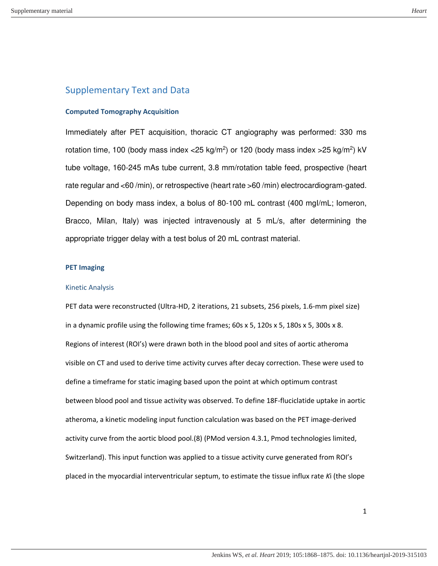# Supplementary Text and Data

#### **Computed Tomography Acquisition**

Immediately after PET acquisition, thoracic CT angiography was performed: 330 ms rotation time, 100 (body mass index <25 kg/m<sup>2</sup>) or 120 (body mass index >25 kg/m<sup>2</sup>) kV tube voltage, 160-245 mAs tube current, 3.8 mm/rotation table feed, prospective (heart rate regular and <60 /min), or retrospective (heart rate >60 /min) electrocardiogram-gated. Depending on body mass index, a bolus of 80-100 mL contrast (400 mgI/mL; Iomeron, Bracco, Milan, Italy) was injected intravenously at 5 mL/s, after determining the appropriate trigger delay with a test bolus of 20 mL contrast material.

#### **PET Imaging**

#### Kinetic Analysis

PET data were reconstructed (Ultra-HD, 2 iterations, 21 subsets, 256 pixels, 1.6-mm pixel size) in a dynamic profile using the following time frames; 60s x 5, 120s x 5, 180s x 5, 300s x 8. Regions of interest (ROI's) were drawn both in the blood pool and sites of aortic atheroma visible on CT and used to derive time activity curves after decay correction. These were used to define a timeframe for static imaging based upon the point at which optimum contrast between blood pool and tissue activity was observed. To define 18F-fluciclatide uptake in aortic atheroma, a kinetic modeling input function calculation was based on the PET image-derived activity curve from the aortic blood pool.(8) (PMod version 4.3.1, Pmod technologies limited, Switzerland). This input function was applied to a tissue activity curve generated from ROI's placed in the myocardial interventricular septum, to estimate the tissue influx rate *K*i (the slope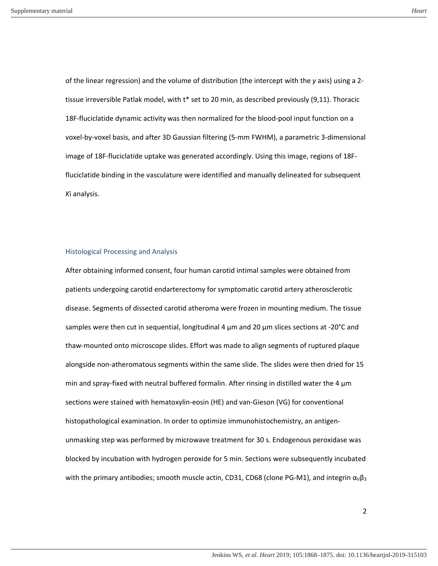of the linear regression) and the volume of distribution (the intercept with the *y* axis) using a 2 tissue irreversible Patlak model, with t\* set to 20 min, as described previously (9,11). Thoracic 18F-fluciclatide dynamic activity was then normalized for the blood-pool input function on a voxel-by-voxel basis, and after 3D Gaussian filtering (5-mm FWHM), a parametric 3-dimensional image of 18F-fluciclatide uptake was generated accordingly. Using this image, regions of 18Ffluciclatide binding in the vasculature were identified and manually delineated for subsequent *K*i analysis.

#### Histological Processing and Analysis

After obtaining informed consent, four human carotid intimal samples were obtained from patients undergoing carotid endarterectomy for symptomatic carotid artery atherosclerotic disease. Segments of dissected carotid atheroma were frozen in mounting medium. The tissue samples were then cut in sequential, longitudinal 4  $\mu$ m and 20  $\mu$ m slices sections at -20°C and thaw-mounted onto microscope slides. Effort was made to align segments of ruptured plaque alongside non-atheromatous segments within the same slide. The slides were then dried for 15 min and spray-fixed with neutral buffered formalin. After rinsing in distilled water the 4  $\mu$ m sections were stained with hematoxylin-eosin (HE) and van-Gieson (VG) for conventional histopathological examination. In order to optimize immunohistochemistry, an antigenunmasking step was performed by microwave treatment for 30 s. Endogenous peroxidase was blocked by incubation with hydrogen peroxide for 5 min. Sections were subsequently incubated with the primary antibodies; smooth muscle actin, CD31, CD68 (clone PG-M1), and integrin  $\alpha_{\rm V}\beta_3$ 

2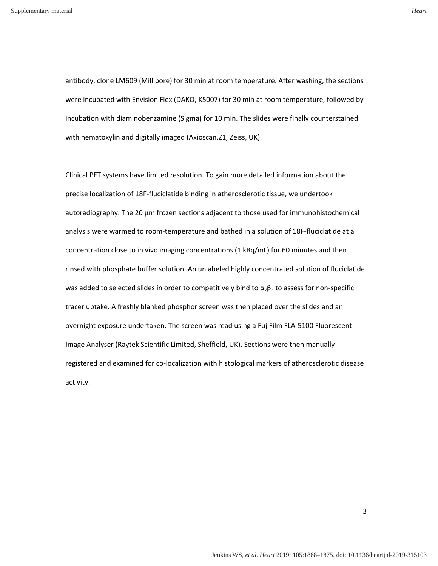antibody, clone LM609 (Millipore) for 30 min at room temperature. After washing, the sections were incubated with Envision Flex (DAKO, K5007) for 30 min at room temperature, followed by incubation with diaminobenzamine (Sigma) for 10 min. The slides were finally counterstained with hematoxylin and digitally imaged (Axioscan.Z1, Zeiss, UK).

Clinical PET systems have limited resolution. To gain more detailed information about the precise localization of 18F-fluciclatide binding in atherosclerotic tissue, we undertook autoradiography. The 20 μm frozen sections adjacent to those used for immunohistochemical analysis were warmed to room-temperature and bathed in a solution of 18F-fluciclatide at a concentration close to in vivo imaging concentrations (1 kBq/mL) for 60 minutes and then rinsed with phosphate buffer solution. An unlabeled highly concentrated solution of fluciclatide was added to selected slides in order to competitively bind to  $\alpha_{\nu}\beta_3$  to assess for non-specific tracer uptake. A freshly blanked phosphor screen was then placed over the slides and an overnight exposure undertaken. The screen was read using a FujiFilm FLA-5100 Fluorescent Image Analyser (Raytek Scientific Limited, Sheffield, UK). Sections were then manually registered and examined for co-localization with histological markers of atherosclerotic disease activity.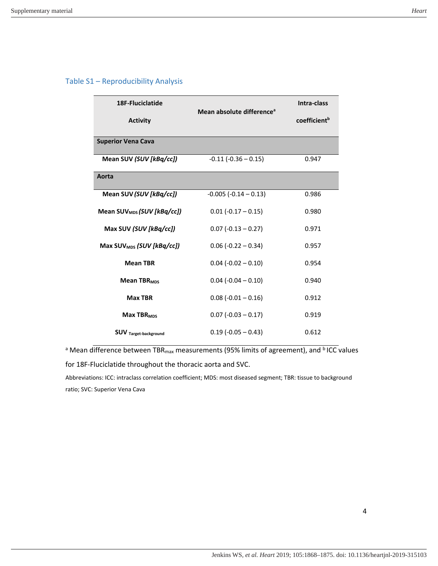# Table S1 – Reproducibility Analysis

| 18F-Fluciclatide                       | Mean absolute difference <sup>a</sup> | Intra-class              |
|----------------------------------------|---------------------------------------|--------------------------|
| <b>Activity</b>                        |                                       | coefficient <sup>b</sup> |
| <b>Superior Vena Cava</b>              |                                       |                          |
| Mean SUV (SUV [kBq/cc])                | $-0.11$ $(-0.36 - 0.15)$              | 0.947                    |
| Aorta                                  |                                       |                          |
| Mean SUV (SUV [kBq/cc])                | $-0.005 (-0.14 - 0.13)$               | 0.986                    |
| Mean SUV <sub>MDS</sub> (SUV [kBq/cc]) | $0.01 (-0.17 - 0.15)$                 | 0.980                    |
| Max SUV (SUV [kBq/cc])                 | $0.07$ (-0.13 – 0.27)                 | 0.971                    |
| Max SUV <sub>MDS</sub> (SUV [kBq/cc])  | $0.06 (-0.22 - 0.34)$                 | 0.957                    |
| <b>Mean TBR</b>                        | $0.04$ (-0.02 – 0.10)                 | 0.954                    |
| Mean TBR <sub>MDS</sub>                | $0.04$ (-0.04 $-$ 0.10)               | 0.940                    |
| <b>Max TBR</b>                         | $0.08$ (-0.01 – 0.16)                 | 0.912                    |
| <b>Max TBR<sub>MDS</sub></b>           | $0.07$ (-0.03 $-0.17$ )               | 0.919                    |
| <b>SUV</b> Target-background           | $0.19(-0.05 - 0.43)$                  | 0.612                    |

<sup>a</sup> Mean difference between TBR<sub>max</sub> measurements (95% limits of agreement), and <sup>b</sup> ICC values

for 18F-Fluciclatide throughout the thoracic aorta and SVC.

Abbreviations: ICC: intraclass correlation coefficient; MDS: most diseased segment; TBR: tissue to background ratio; SVC: Superior Vena Cava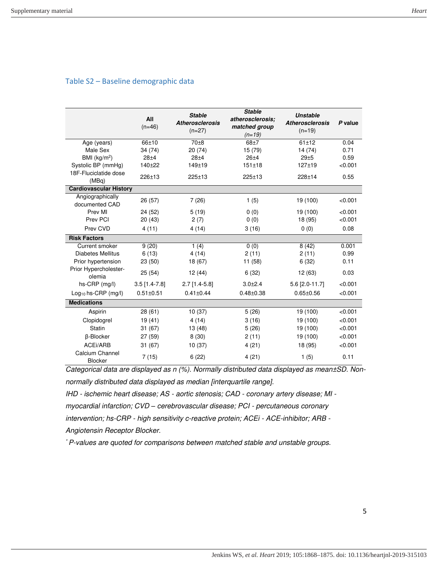### Table S2 – Baseline demographic data

|                                    | All<br>$(n=46)$ | <b>Stable</b><br><b>Atherosclerosis</b><br>$(n=27)$ | <b>Stable</b><br>atherosclerosis:<br>matched group<br>$(n=19)$ | <b>Unstable</b><br><b>Atherosclerosis</b><br>$(n=19)$ | P value |
|------------------------------------|-----------------|-----------------------------------------------------|----------------------------------------------------------------|-------------------------------------------------------|---------|
| Age (years)                        | 66±10           | $70\pm8$                                            | $68+7$                                                         | $61 + 12$                                             | 0.04    |
| Male Sex                           | 34 (74)         | 20 (74)                                             | 15 (79)                                                        | 14 (74)                                               | 0.71    |
| BMI $(kg/m2)$                      | $28 + 4$        | $28 + 4$                                            | $26 + 4$                                                       | 29±5                                                  | 0.59    |
| Systolic BP (mmHg)                 | $140 + 22$      | $149 + 19$                                          | 151±18                                                         | $127 + 19$                                            | < 0.001 |
| 18F-Fluciclatide dose<br>(MBq)     | $226 + 13$      | $225 \pm 13$                                        | $225 + 13$                                                     | 228±14                                                | 0.55    |
| <b>Cardiovascular History</b>      |                 |                                                     |                                                                |                                                       |         |
| Angiographically<br>documented CAD | 26 (57)         | 7(26)                                               | 1(5)                                                           | 19 (100)                                              | < 0.001 |
| Prev MI                            | 24 (52)         | 5(19)                                               | 0(0)                                                           | 19 (100)                                              | < 0.001 |
| Prev PCI                           | 20(43)          | 2(7)                                                | 0(0)                                                           | 18 (95)                                               | < 0.001 |
| Prev CVD                           | 4(11)           | 4(14)                                               | 3(16)                                                          | 0(0)                                                  | 0.08    |
| <b>Risk Factors</b>                |                 |                                                     |                                                                |                                                       |         |
| Current smoker                     | 9(20)           | 1(4)                                                | 0(0)                                                           | 8(42)                                                 | 0.001   |
| <b>Diabetes Mellitus</b>           | 6(13)           | 4(14)                                               | 2(11)                                                          | 2(11)                                                 | 0.99    |
| Prior hypertension                 | 23 (50)         | 18 (67)                                             | 11 (58)                                                        | 6(32)                                                 | 0.11    |
| Prior Hypercholester-<br>olemia    | 25(54)          | 12 (44)                                             | 6(32)                                                          | 12 (63)                                               | 0.03    |
| $hs-CRP$ (mg/l)                    | $3.5$ [1.4-7.8] | $2.7$ [1.4-5.8]                                     | $3.0 + 2.4$                                                    | 5.6 [2.0-11.7]                                        | < 0.001 |
| $Log_{10}$ hs-CRP (mg/l)           | $0.51 + 0.51$   | $0.41 \pm 0.44$                                     | $0.48 + 0.38$                                                  | $0.65 + 0.56$                                         | < 0.001 |
| <b>Medications</b>                 |                 |                                                     |                                                                |                                                       |         |
| Aspirin                            | 28(61)          | 10(37)                                              | 5(26)                                                          | 19 (100)                                              | < 0.001 |
| Clopidogrel                        | 19(41)          | 4(14)                                               | 3(16)                                                          | 19 (100)                                              | < 0.001 |
| <b>Statin</b>                      | 31(67)          | 13 (48)                                             | 5(26)                                                          | 19 (100)                                              | < 0.001 |
| β-Blocker                          | 27 (59)         | 8(30)                                               | 2(11)                                                          | 19 (100)                                              | < 0.001 |
| ACEi/ARB                           | 31(67)          | 10(37)                                              | 4(21)                                                          | 18 (95)                                               | < 0.001 |
| Calcium Channel<br><b>Blocker</b>  | 7(15)           | 6(22)                                               | 4(21)                                                          | 1(5)                                                  | 0.11    |

Categorical data are displayed as n (%). Normally distributed data displayed as mean±SD. Nonnormally distributed data displayed as median [interquartile range].

IHD - ischemic heart disease; AS - aortic stenosis; CAD - coronary artery disease; MI myocardial infarction; CVD *–* cerebrovascular disease; PCI - percutaneous coronary intervention; hs-CRP - high sensitivity c-reactive protein; ACEi - ACE-inhibitor; ARB - Angiotensin Receptor Blocker.

\* P-values are quoted for comparisons between matched stable and unstable groups.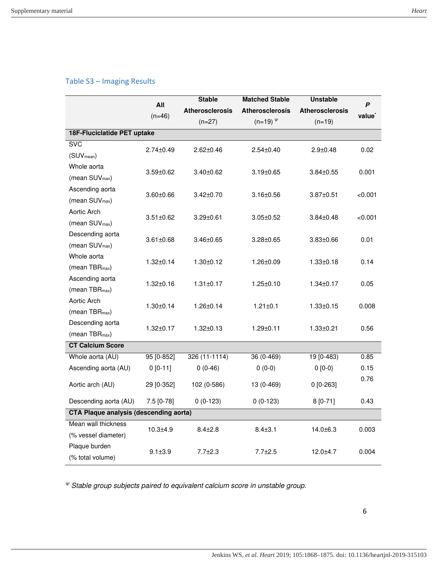# Table S3 – Imaging Results

|                                               | All<br>$(n=46)$ | <b>Stable</b>          | <b>Matched Stable</b>  | <b>Unstable</b>        | P<br>value <sup>*</sup> |  |  |
|-----------------------------------------------|-----------------|------------------------|------------------------|------------------------|-------------------------|--|--|
|                                               |                 | <b>Atherosclerosis</b> | <b>Atherosclerosis</b> | <b>Atherosclerosis</b> |                         |  |  |
|                                               |                 | $(n=27)$               | $(n=19)$ $^{\psi}$     | $(n=19)$               |                         |  |  |
| 18F-Fluciclatide PET uptake                   |                 |                        |                        |                        |                         |  |  |
| <b>SVC</b>                                    | $2.74 \pm 0.49$ | $2.62 \pm 0.46$        | $2.54 \pm 0.40$        | $2.9 \pm 0.48$         | 0.02                    |  |  |
| (SUV <sub>mean</sub> )                        |                 |                        |                        |                        |                         |  |  |
| Whole aorta                                   | $3.59 \pm 0.62$ | $3.40 \pm 0.62$        | $3.19 \pm 0.65$        | $3.84 \pm 0.55$        | 0.001                   |  |  |
| (mean SUV <sub>max</sub> )                    |                 |                        |                        |                        |                         |  |  |
| Ascending aorta                               | $3.60 \pm 0.66$ | $3.42 \pm 0.70$        | $3.16 \pm 0.56$        | $3.87 \pm 0.51$        | < 0.001                 |  |  |
| (mean SUV <sub>max</sub> )                    |                 |                        |                        |                        |                         |  |  |
| Aortic Arch                                   | $3.51 \pm 0.62$ | 3.29±0.61              | $3.05 \pm 0.52$        | $3.84 \pm 0.48$        | < 0.001                 |  |  |
| (mean SUV <sub>max</sub> )                    |                 |                        |                        |                        |                         |  |  |
| Descending aorta                              | $3.61 \pm 0.68$ | 3.46±0.65              | $3.28 \pm 0.65$        | $3.83 \pm 0.66$        | 0.01                    |  |  |
| (mean SUV <sub>max</sub> )                    |                 |                        |                        |                        |                         |  |  |
| Whole aorta                                   | $1.32 \pm 0.14$ | $1.30 \pm 0.12$        | $1.26 \pm 0.09$        | $1.33 \pm 0.18$        | 0.14                    |  |  |
| (mean TBR <sub>max</sub> )                    |                 |                        |                        |                        |                         |  |  |
| Ascending aorta                               | $1.32 \pm 0.16$ | $1.31 \pm 0.17$        | $1.25 \pm 0.10$        | $1.34 \pm 0.17$        | 0.05                    |  |  |
| (mean TBR <sub>max</sub> )                    |                 |                        |                        |                        |                         |  |  |
| Aortic Arch                                   | $1.30 \pm 0.14$ | $1.26 \pm 0.14$        | $1.21 \pm 0.1$         | $1.33 \pm 0.15$        | 0.008                   |  |  |
| (mean TBR <sub>max</sub> )                    |                 |                        |                        |                        |                         |  |  |
| Descending aorta                              | $1.32 \pm 0.17$ | $1.32 \pm 0.13$        | $1.29 \pm 0.11$        | $1.33 \pm 0.21$        | 0.56                    |  |  |
| (mean TBR <sub>max</sub> )                    |                 |                        |                        |                        |                         |  |  |
| <b>CT Calcium Score</b>                       |                 |                        |                        |                        |                         |  |  |
| Whole aorta (AU)                              | 95 [0-852]      | 326 (11-1114)          | $36(0-469)$            | $19[0-483]$            | 0.85                    |  |  |
| Ascending aorta (AU)                          | $0[0-11]$       | $0(0-46)$              | $0(0-0)$               | $0 [0-0]$              | 0.15                    |  |  |
| Aortic arch (AU)                              | 29 [0-352]      | 102 (0-586)            | 13 (0-469)             | $0 [0-263]$            | 0.76                    |  |  |
|                                               |                 |                        |                        |                        |                         |  |  |
| Descending aorta (AU)                         | 7.5 [0-78]      | $0(0-123)$             | $0(0-123)$             | $8[0-71]$              | 0.43                    |  |  |
| <b>CTA Plaque analysis (descending aorta)</b> |                 |                        |                        |                        |                         |  |  |
| Mean wall thickness                           | $10.3 + 4.9$    | $8.4 \pm 2.8$          | $8.4 \pm 3.1$          | $14.0 \pm 6.3$         | 0.003                   |  |  |
| (% vessel diameter)                           |                 |                        |                        |                        |                         |  |  |
| Plaque burden                                 | $9.1 + 3.9$     | $7.7 \pm 2.3$          | $7.7 \pm 2.5$          | 12.0±4.7               | 0.004                   |  |  |
| (% total volume)                              |                 |                        |                        |                        |                         |  |  |

*<sup>Ψ</sup>* Stable group subjects paired to equivalent calcium score in unstable group.